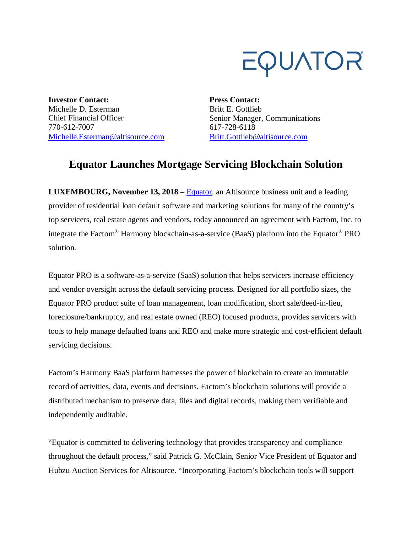

**Investor Contact:** Michelle D. Esterman Chief Financial Officer 770-612-7007 Michelle.Esterman@altisource.com **Press Contact:** Britt E. Gottlieb Senior Manager, Communications 617-728-6118 Britt.Gottlieb@altisource.com

## **Equator Launches Mortgage Servicing Blockchain Solution**

**LUXEMBOURG, November 13, 2018** – **Equator**, an Altisource business unit and a leading provider of residential loan default software and marketing solutions for many of the country's top servicers, real estate agents and vendors, today announced an agreement with Factom, Inc. to integrate the Factom® Harmony blockchain-as-a-service (BaaS) platform into the Equator® PRO solution.

Equator PRO is a software-as-a-service (SaaS) solution that helps servicers increase efficiency and vendor oversight across the default servicing process. Designed for all portfolio sizes, the Equator PRO product suite of loan management, loan modification, short sale/deed-in-lieu, foreclosure/bankruptcy, and real estate owned (REO) focused products, provides servicers with tools to help manage defaulted loans and REO and make more strategic and cost-efficient default servicing decisions.

Factom's Harmony BaaS platform harnesses the power of blockchain to create an immutable record of activities, data, events and decisions. Factom's blockchain solutions will provide a distributed mechanism to preserve data, files and digital records, making them verifiable and independently auditable.

"Equator is committed to delivering technology that provides transparency and compliance throughout the default process," said Patrick G. McClain, Senior Vice President of Equator and Hubzu Auction Services for Altisource. "Incorporating Factom's blockchain tools will support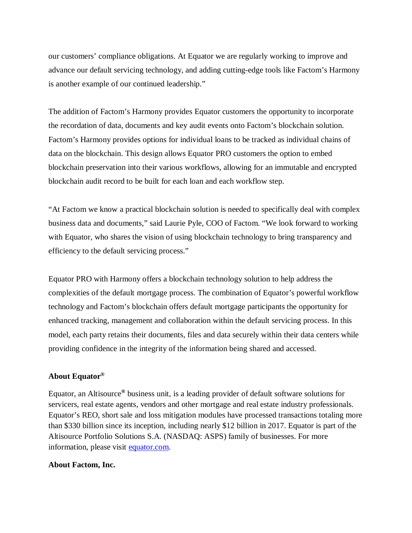our customers' compliance obligations. At Equator we are regularly working to improve and advance our default servicing technology, and adding cutting-edge tools like Factom's Harmony is another example of our continued leadership."

The addition of Factom's Harmony provides Equator customers the opportunity to incorporate the recordation of data, documents and key audit events onto Factom's blockchain solution. Factom's Harmony provides options for individual loans to be tracked as individual chains of data on the blockchain. This design allows Equator PRO customers the option to embed blockchain preservation into their various workflows, allowing for an immutable and encrypted blockchain audit record to be built for each loan and each workflow step.

"At Factom we know a practical blockchain solution is needed to specifically deal with complex business data and documents," said Laurie Pyle, COO of Factom. "We look forward to working with Equator, who shares the vision of using blockchain technology to bring transparency and efficiency to the default servicing process."

Equator PRO with Harmony offers a blockchain technology solution to help address the complexities of the default mortgage process. The combination of Equator's powerful workflow technology and Factom's blockchain offers default mortgage participants the opportunity for enhanced tracking, management and collaboration within the default servicing process. In this model, each party retains their documents, files and data securely within their data centers while providing confidence in the integrity of the information being shared and accessed.

## **About Equator®**

Equator, an Altisource**®** business unit, is a leading provider of default software solutions for servicers, real estate agents, vendors and other mortgage and real estate industry professionals. Equator's REO, short sale and loss mitigation modules have processed transactions totaling more than \$330 billion since its inception, including nearly \$12 billion in 2017. Equator is part of the Altisource Portfolio Solutions S.A. (NASDAQ: ASPS) family of businesses. For more information, please visit equator.com.

## **About Factom, Inc.**